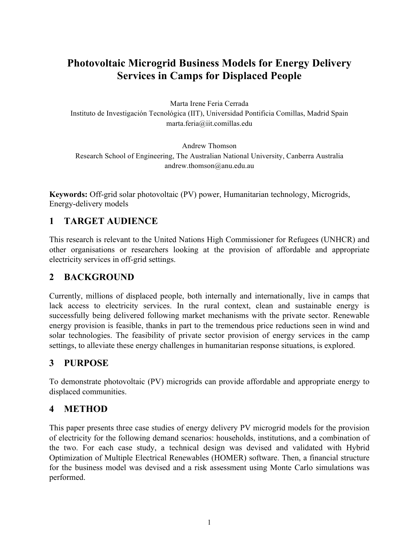# **Photovoltaic Microgrid Business Models for Energy Delivery Services in Camps for Displaced People**

Marta Irene Feria Cerrada Instituto de Investigación Tecnológica (IIT), Universidad Pontificia Comillas, Madrid Spain marta.feria@iit.comillas.edu

Andrew Thomson

Research School of Engineering, The Australian National University, Canberra Australia andrew.thomson@anu.edu.au

**Keywords:** Off-grid solar photovoltaic (PV) power, Humanitarian technology, Microgrids, Energy-delivery models

## **1 TARGET AUDIENCE**

This research is relevant to the United Nations High Commissioner for Refugees (UNHCR) and other organisations or researchers looking at the provision of affordable and appropriate electricity services in off-grid settings.

### **2 BACKGROUND**

Currently, millions of displaced people, both internally and internationally, live in camps that lack access to electricity services. In the rural context, clean and sustainable energy is successfully being delivered following market mechanisms with the private sector. Renewable energy provision is feasible, thanks in part to the tremendous price reductions seen in wind and solar technologies. The feasibility of private sector provision of energy services in the camp settings, to alleviate these energy challenges in humanitarian response situations, is explored.

### **3 PURPOSE**

To demonstrate photovoltaic (PV) microgrids can provide affordable and appropriate energy to displaced communities.

#### **4 METHOD**

This paper presents three case studies of energy delivery PV microgrid models for the provision of electricity for the following demand scenarios: households, institutions, and a combination of the two. For each case study, a technical design was devised and validated with Hybrid Optimization of Multiple Electrical Renewables (HOMER) software. Then, a financial structure for the business model was devised and a risk assessment using Monte Carlo simulations was performed.